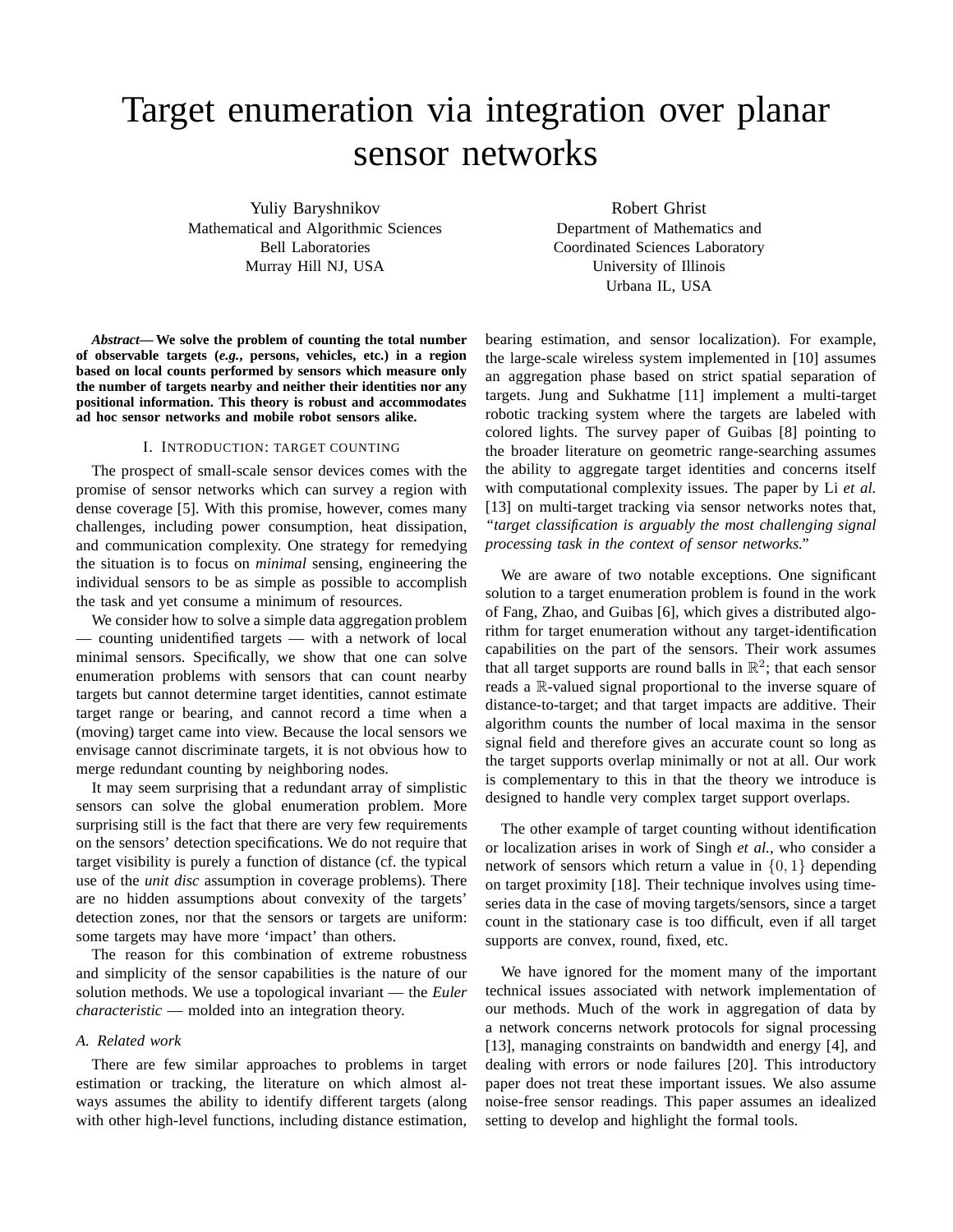# Target enumeration via integration over planar sensor networks

Yuliy Baryshnikov Mathematical and Algorithmic Sciences Bell Laboratories Murray Hill NJ, USA

Robert Ghrist Department of Mathematics and Coordinated Sciences Laboratory University of Illinois Urbana IL, USA

*Abstract***— We solve the problem of counting the total number of observable targets (***e.g.***, persons, vehicles, etc.) in a region based on local counts performed by sensors which measure only the number of targets nearby and neither their identities nor any positional information. This theory is robust and accommodates ad hoc sensor networks and mobile robot sensors alike.**

## I. INTRODUCTION: TARGET COUNTING

The prospect of small-scale sensor devices comes with the promise of sensor networks which can survey a region with dense coverage [5]. With this promise, however, comes many challenges, including power consumption, heat dissipation, and communication complexity. One strategy for remedying the situation is to focus on *minimal* sensing, engineering the individual sensors to be as simple as possible to accomplish the task and yet consume a minimum of resources.

We consider how to solve a simple data aggregation problem — counting unidentified targets — with a network of local minimal sensors. Specifically, we show that one can solve enumeration problems with sensors that can count nearby targets but cannot determine target identities, cannot estimate target range or bearing, and cannot record a time when a (moving) target came into view. Because the local sensors we envisage cannot discriminate targets, it is not obvious how to merge redundant counting by neighboring nodes.

It may seem surprising that a redundant array of simplistic sensors can solve the global enumeration problem. More surprising still is the fact that there are very few requirements on the sensors' detection specifications. We do not require that target visibility is purely a function of distance (cf. the typical use of the *unit disc* assumption in coverage problems). There are no hidden assumptions about convexity of the targets' detection zones, nor that the sensors or targets are uniform: some targets may have more 'impact' than others.

The reason for this combination of extreme robustness and simplicity of the sensor capabilities is the nature of our solution methods. We use a topological invariant — the *Euler characteristic* — molded into an integration theory.

## *A. Related work*

There are few similar approaches to problems in target estimation or tracking, the literature on which almost always assumes the ability to identify different targets (along with other high-level functions, including distance estimation,

bearing estimation, and sensor localization). For example, the large-scale wireless system implemented in [10] assumes an aggregation phase based on strict spatial separation of targets. Jung and Sukhatme [11] implement a multi-target robotic tracking system where the targets are labeled with colored lights. The survey paper of Guibas [8] pointing to the broader literature on geometric range-searching assumes the ability to aggregate target identities and concerns itself with computational complexity issues. The paper by Li *et al.* [13] on multi-target tracking via sensor networks notes that, *"target classification is arguably the most challenging signal processing task in the context of sensor networks."*

We are aware of two notable exceptions. One significant solution to a target enumeration problem is found in the work of Fang, Zhao, and Guibas [6], which gives a distributed algorithm for target enumeration without any target-identification capabilities on the part of the sensors. Their work assumes that all target supports are round balls in  $\mathbb{R}^2$ ; that each sensor reads a R-valued signal proportional to the inverse square of distance-to-target; and that target impacts are additive. Their algorithm counts the number of local maxima in the sensor signal field and therefore gives an accurate count so long as the target supports overlap minimally or not at all. Our work is complementary to this in that the theory we introduce is designed to handle very complex target support overlaps.

The other example of target counting without identification or localization arises in work of Singh *et al.*, who consider a network of sensors which return a value in  $\{0, 1\}$  depending on target proximity [18]. Their technique involves using timeseries data in the case of moving targets/sensors, since a target count in the stationary case is too difficult, even if all target supports are convex, round, fixed, etc.

We have ignored for the moment many of the important technical issues associated with network implementation of our methods. Much of the work in aggregation of data by a network concerns network protocols for signal processing [13], managing constraints on bandwidth and energy [4], and dealing with errors or node failures [20]. This introductory paper does not treat these important issues. We also assume noise-free sensor readings. This paper assumes an idealized setting to develop and highlight the formal tools.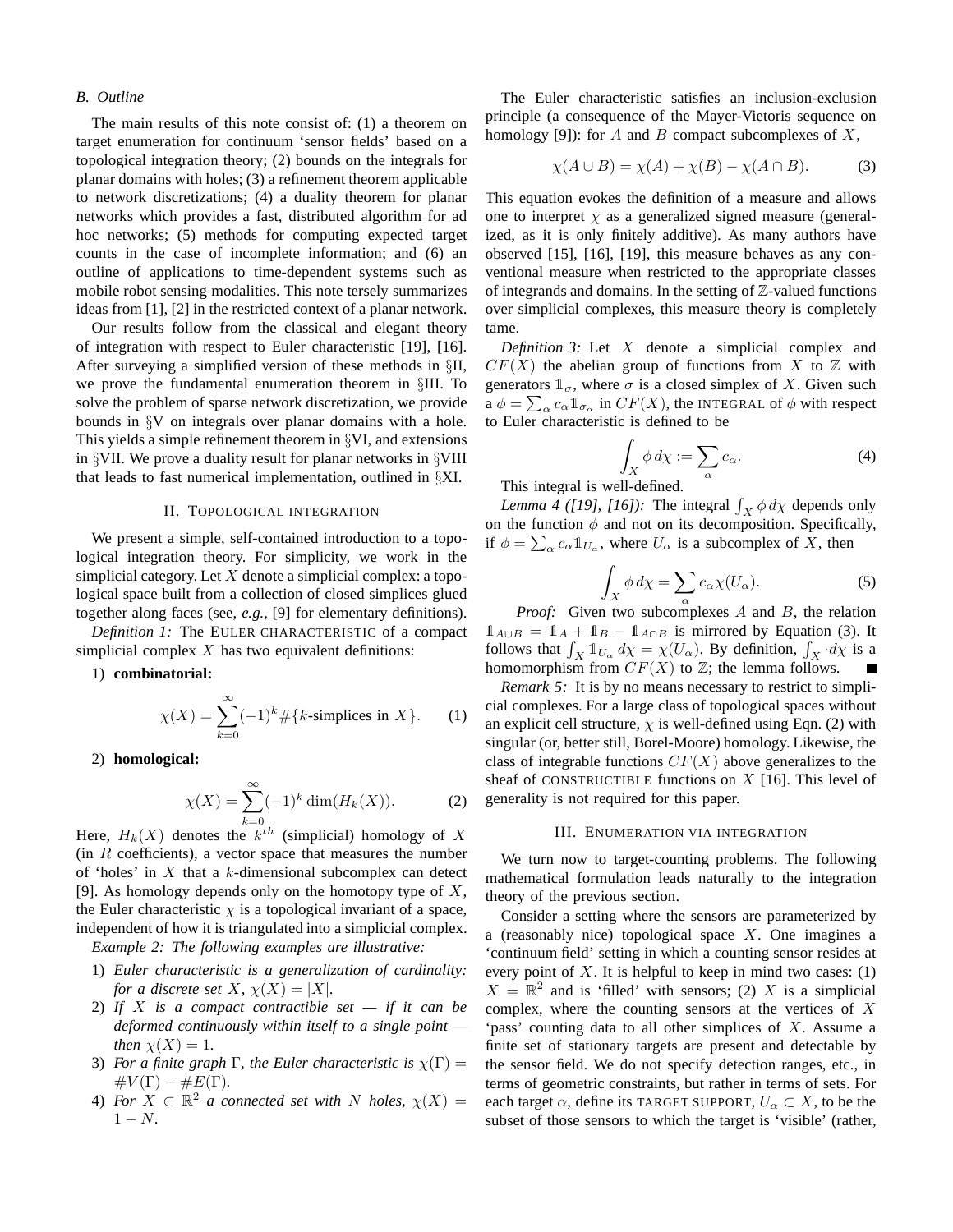## *B. Outline*

The main results of this note consist of: (1) a theorem on target enumeration for continuum 'sensor fields' based on a topological integration theory; (2) bounds on the integrals for planar domains with holes; (3) a refinement theorem applicable to network discretizations; (4) a duality theorem for planar networks which provides a fast, distributed algorithm for ad hoc networks; (5) methods for computing expected target counts in the case of incomplete information; and (6) an outline of applications to time-dependent systems such as mobile robot sensing modalities. This note tersely summarizes ideas from [1], [2] in the restricted context of a planar network.

Our results follow from the classical and elegant theory of integration with respect to Euler characteristic [19], [16]. After surveying a simplified version of these methods in §II, we prove the fundamental enumeration theorem in §III. To solve the problem of sparse network discretization, we provide bounds in §V on integrals over planar domains with a hole. This yields a simple refinement theorem in §VI, and extensions in §VII. We prove a duality result for planar networks in §VIII that leads to fast numerical implementation, outlined in §XI.

# II. TOPOLOGICAL INTEGRATION

We present a simple, self-contained introduction to a topological integration theory. For simplicity, we work in the simplicial category. Let  $X$  denote a simplicial complex: a topological space built from a collection of closed simplices glued together along faces (see, *e.g.*, [9] for elementary definitions).

*Definition 1:* The EULER CHARACTERISTIC of a compact simplicial complex  $X$  has two equivalent definitions:

1) **combinatorial:**

$$
\chi(X) = \sum_{k=0}^{\infty} (-1)^k \# \{k\text{-simplices in } X\}. \tag{1}
$$

2) **homological:**

$$
\chi(X) = \sum_{k=0}^{\infty} (-1)^k \dim(H_k(X)).
$$
 (2)

Here,  $H_k(X)$  denotes the  $k^{th}$  (simplicial) homology of X  $(in R coefficients)$ , a vector space that measures the number of 'holes' in  $X$  that a  $k$ -dimensional subcomplex can detect [9]. As homology depends only on the homotopy type of  $X$ , the Euler characteristic  $\chi$  is a topological invariant of a space, independent of how it is triangulated into a simplicial complex.

*Example 2: The following examples are illustrative:*

- 1) *Euler characteristic is a generalization of cardinality: for a discrete set*  $X$ *,*  $\chi(X) = |X|$ *.*
- 2) *If* X *is a compact contractible set if it can be deformed continuously within itself to a single point then*  $\chi(X) = 1$ *.*
- 3) *For a finite graph*  $\Gamma$ *, the Euler characteristic is*  $\chi(\Gamma) =$  $\#V(\Gamma) - \#E(\Gamma)$ .
- 4) For  $X \subset \mathbb{R}^2$  *a connected set with* N *holes,*  $\chi(X) =$ 1 − N*.*

The Euler characteristic satisfies an inclusion-exclusion principle (a consequence of the Mayer-Vietoris sequence on homology [9]): for A and B compact subcomplexes of X,

$$
\chi(A \cup B) = \chi(A) + \chi(B) - \chi(A \cap B). \tag{3}
$$

This equation evokes the definition of a measure and allows one to interpret  $\chi$  as a generalized signed measure (generalized, as it is only finitely additive). As many authors have observed [15], [16], [19], this measure behaves as any conventional measure when restricted to the appropriate classes of integrands and domains. In the setting of  $\mathbb{Z}$ -valued functions over simplicial complexes, this measure theory is completely tame.

*Definition 3:* Let X denote a simplicial complex and  $CF(X)$  the abelian group of functions from X to Z with generators  $\mathbb{1}_{\sigma}$ , where  $\sigma$  is a closed simplex of X. Given such  $\mathbf{a} \phi = \sum_{\alpha} c_{\alpha} \mathbb{1}_{\sigma_{\alpha}}$  in  $CF(X)$ , the INTEGRAL of  $\phi$  with respect to Euler characteristic is defined to be

$$
\int_X \phi \, d\chi := \sum_{\alpha} c_{\alpha}.\tag{4}
$$

This integral is well-defined.

*Lemma 4 ([19], [16])*: The integral  $\int_X \phi \, d\chi$  depends only on the function  $\phi$  and not on its decomposition. Specifically, if  $\phi = \sum_{\alpha} c_{\alpha} \mathbb{1}_{U_{\alpha}}$ , where  $U_{\alpha}$  is a subcomplex of  $\hat{X}$ , then

$$
\int_X \phi \, d\chi = \sum_{\alpha} c_{\alpha} \chi(U_{\alpha}).\tag{5}
$$

*Proof:* Given two subcomplexes A and B, the relation  $1_{A\cup B} = 1_A + 1_B - 1_{A\cap B}$  is mirrored by Equation (3). It follows that  $\int_X 1\!\!1_{U_\alpha} d\chi = \chi(U_\alpha)$ . By definition,  $\int_X d\chi$  is a homomorphism from  $CF(X)$  to  $\mathbb{Z}$ ; the lemma follows.

*Remark 5:* It is by no means necessary to restrict to simplicial complexes. For a large class of topological spaces without an explicit cell structure,  $\chi$  is well-defined using Eqn. (2) with singular (or, better still, Borel-Moore) homology. Likewise, the class of integrable functions  $CF(X)$  above generalizes to the sheaf of CONSTRUCTIBLE functions on  $X$  [16]. This level of generality is not required for this paper.

#### III. ENUMERATION VIA INTEGRATION

We turn now to target-counting problems. The following mathematical formulation leads naturally to the integration theory of the previous section.

Consider a setting where the sensors are parameterized by a (reasonably nice) topological space X. One imagines a 'continuum field' setting in which a counting sensor resides at every point of  $X$ . It is helpful to keep in mind two cases: (1)  $X = \mathbb{R}^2$  and is 'filled' with sensors; (2) X is a simplicial complex, where the counting sensors at the vertices of  $X$ 'pass' counting data to all other simplices of  $X$ . Assume a finite set of stationary targets are present and detectable by the sensor field. We do not specify detection ranges, etc., in terms of geometric constraints, but rather in terms of sets. For each target  $\alpha$ , define its TARGET SUPPORT,  $U_{\alpha} \subset X$ , to be the subset of those sensors to which the target is 'visible' (rather,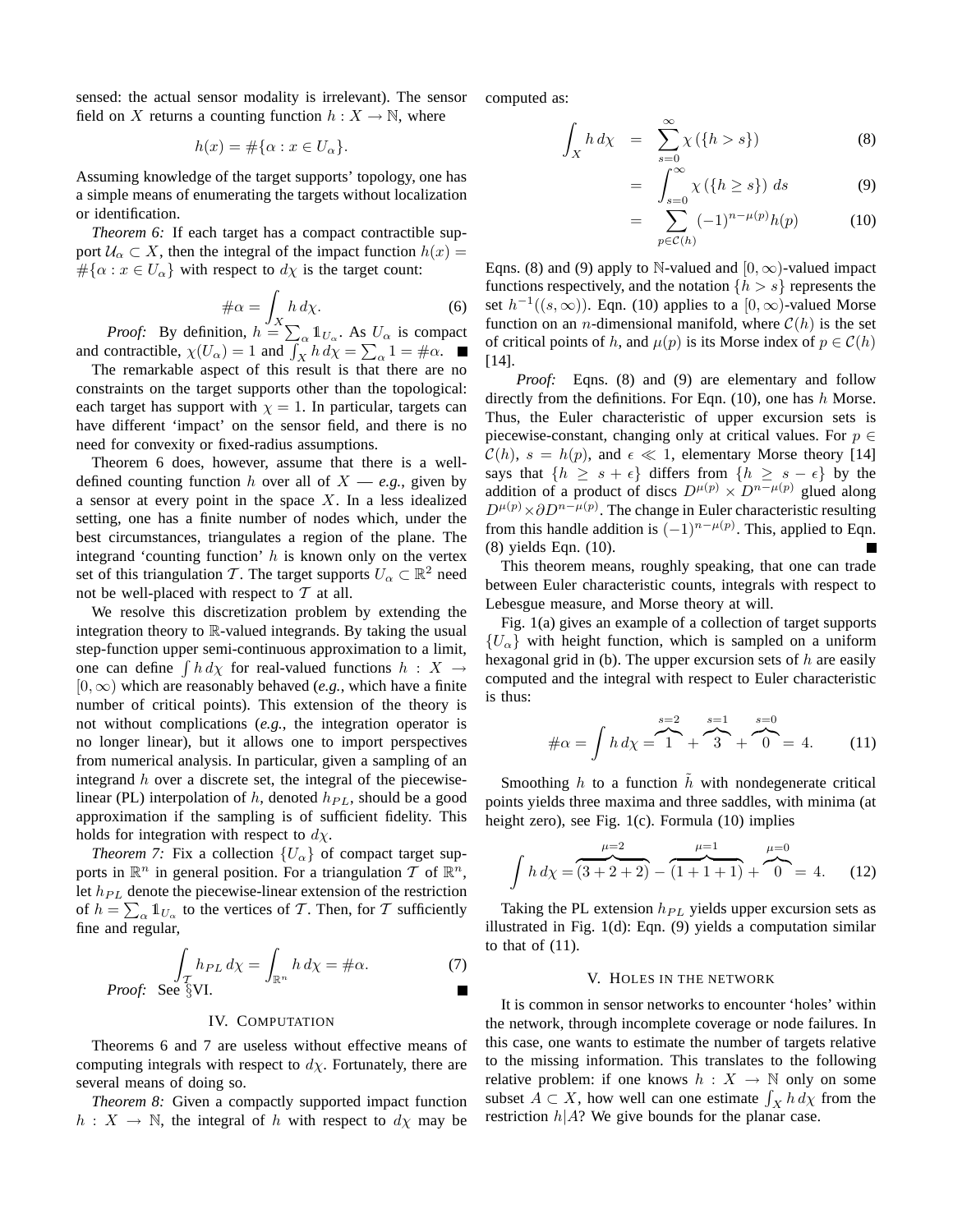sensed: the actual sensor modality is irrelevant). The sensor field on X returns a counting function  $h: X \to \mathbb{N}$ , where

$$
h(x) = \#\{\alpha : x \in U_{\alpha}\}.
$$

Assuming knowledge of the target supports' topology, one has a simple means of enumerating the targets without localization or identification.

*Theorem 6:* If each target has a compact contractible support  $U_{\alpha} \subset X$ , then the integral of the impact function  $h(x) =$  $\#\{\alpha : x \in U_\alpha\}$  with respect to  $d\chi$  is the target count:

$$
\# \alpha = \int_X h \, d\chi. \tag{6}
$$

*Proof:* By definition,  $h = \sum_{\alpha} 1_{U_{\alpha}}$ . As  $U_{\alpha}$  is compact and contractible,  $\chi(U_\alpha) = 1$  and  $\int_X h \, d\chi = \sum_\alpha 1 = \#\alpha$ .

The remarkable aspect of this result is that there are no constraints on the target supports other than the topological: each target has support with  $\chi = 1$ . In particular, targets can have different 'impact' on the sensor field, and there is no need for convexity or fixed-radius assumptions.

Theorem 6 does, however, assume that there is a welldefined counting function h over all of  $X = e.g.,$  given by a sensor at every point in the space  $X$ . In a less idealized setting, one has a finite number of nodes which, under the best circumstances, triangulates a region of the plane. The integrand 'counting function'  $h$  is known only on the vertex set of this triangulation T. The target supports  $U_{\alpha} \subset \mathbb{R}^2$  need not be well-placed with respect to  $T$  at all.

We resolve this discretization problem by extending the integration theory to R-valued integrands. By taking the usual step-function upper semi-continuous approximation to a limit, one can define  $\int h \, d\chi$  for real-valued functions  $h : X \to Y$  $[0, \infty)$  which are reasonably behaved (*e.g.*, which have a finite number of critical points). This extension of the theory is not without complications (*e.g.*, the integration operator is no longer linear), but it allows one to import perspectives from numerical analysis. In particular, given a sampling of an integrand  $h$  over a discrete set, the integral of the piecewiselinear (PL) interpolation of h, denoted  $h_{PL}$ , should be a good approximation if the sampling is of sufficient fidelity. This holds for integration with respect to  $d\chi$ .

*Theorem 7:* Fix a collection  ${U_\alpha}$  of compact target supports in  $\mathbb{R}^n$  in general position. For a triangulation  $\mathcal T$  of  $\mathbb{R}^n$ , let  $h_{PL}$  denote the piecewise-linear extension of the restriction of  $h = \sum_{\alpha} \mathbb{1}_{U_{\alpha}}$  to the vertices of T. Then, for T sufficiently fine and regular,

$$
\int_{\mathcal{T}} h_{PL} d\chi = \int_{\mathbb{R}^n} h d\chi = \#\alpha.
$$
\n(7) *Proof:* See §VI.

# IV. COMPUTATION

Theorems 6 and 7 are useless without effective means of computing integrals with respect to  $d\chi$ . Fortunately, there are several means of doing so.

*Theorem 8:* Given a compactly supported impact function  $h: X \to \mathbb{N}$ , the integral of h with respect to  $d\chi$  may be computed as:

$$
\int_X h \, d\chi = \sum_{s=0}^{\infty} \chi(\{h > s\}) \tag{8}
$$

$$
= \int_{s=0}^{\infty} \chi(\lbrace h \ge s \rbrace) \ ds \tag{9}
$$

$$
= \sum_{p \in \mathcal{C}(h)} (-1)^{n - \mu(p)} h(p) \tag{10}
$$

Eqns. (8) and (9) apply to N-valued and  $[0, \infty)$ -valued impact functions respectively, and the notation  $\{h > s\}$  represents the set  $h^{-1}((s,\infty))$ . Eqn. (10) applies to a  $[0,\infty)$ -valued Morse function on an *n*-dimensional manifold, where  $C(h)$  is the set of critical points of h, and  $\mu(p)$  is its Morse index of  $p \in \mathcal{C}(h)$ [14].

*Proof:* Eqns. (8) and (9) are elementary and follow directly from the definitions. For Eqn.  $(10)$ , one has h Morse. Thus, the Euler characteristic of upper excursion sets is piecewise-constant, changing only at critical values. For  $p \in$  $\mathcal{C}(h)$ ,  $s = h(p)$ , and  $\epsilon \ll 1$ , elementary Morse theory [14] says that  $\{h \geq s + \epsilon\}$  differs from  $\{h \geq s - \epsilon\}$  by the addition of a product of discs  $D^{\mu(p)} \times D^{n-\mu(p)}$  glued along  $D^{\mu(p)} \times \partial D^{n-\mu(p)}$ . The change in Euler characteristic resulting from this handle addition is  $(-1)^{n-\mu(p)}$ . This, applied to Eqn. (8) yields Eqn. (10).

This theorem means, roughly speaking, that one can trade between Euler characteristic counts, integrals with respect to Lebesgue measure, and Morse theory at will.

Fig. 1(a) gives an example of a collection of target supports  ${U_{\alpha}}$  with height function, which is sampled on a uniform hexagonal grid in (b). The upper excursion sets of  $h$  are easily computed and the integral with respect to Euler characteristic is thus:

$$
\#\alpha = \int h \, d\chi = \overbrace{1}^{s=2} + \overbrace{3}^{s=1} + \overbrace{0}^{s=0} = 4. \tag{11}
$$

Smoothing  $h$  to a function  $h$  with nondegenerate critical points yields three maxima and three saddles, with minima (at height zero), see Fig. 1(c). Formula (10) implies

$$
\int h \, d\chi = \overbrace{(3+2+2)}^{\mu=2} - \overbrace{(1+1+1)}^{\mu=1} + \overbrace{0}^{\mu=0} = 4. \tag{12}
$$

Taking the PL extension  $h_{PL}$  yields upper excursion sets as illustrated in Fig. 1(d): Eqn. (9) yields a computation similar to that of  $(11)$ .

## V. HOLES IN THE NETWORK

It is common in sensor networks to encounter 'holes' within the network, through incomplete coverage or node failures. In this case, one wants to estimate the number of targets relative to the missing information. This translates to the following relative problem: if one knows  $h : X \to \mathbb{N}$  only on some subset  $A \subset X$ , how well can one estimate  $\int_X h \, d\chi$  from the restriction  $h|A$ ? We give bounds for the planar case.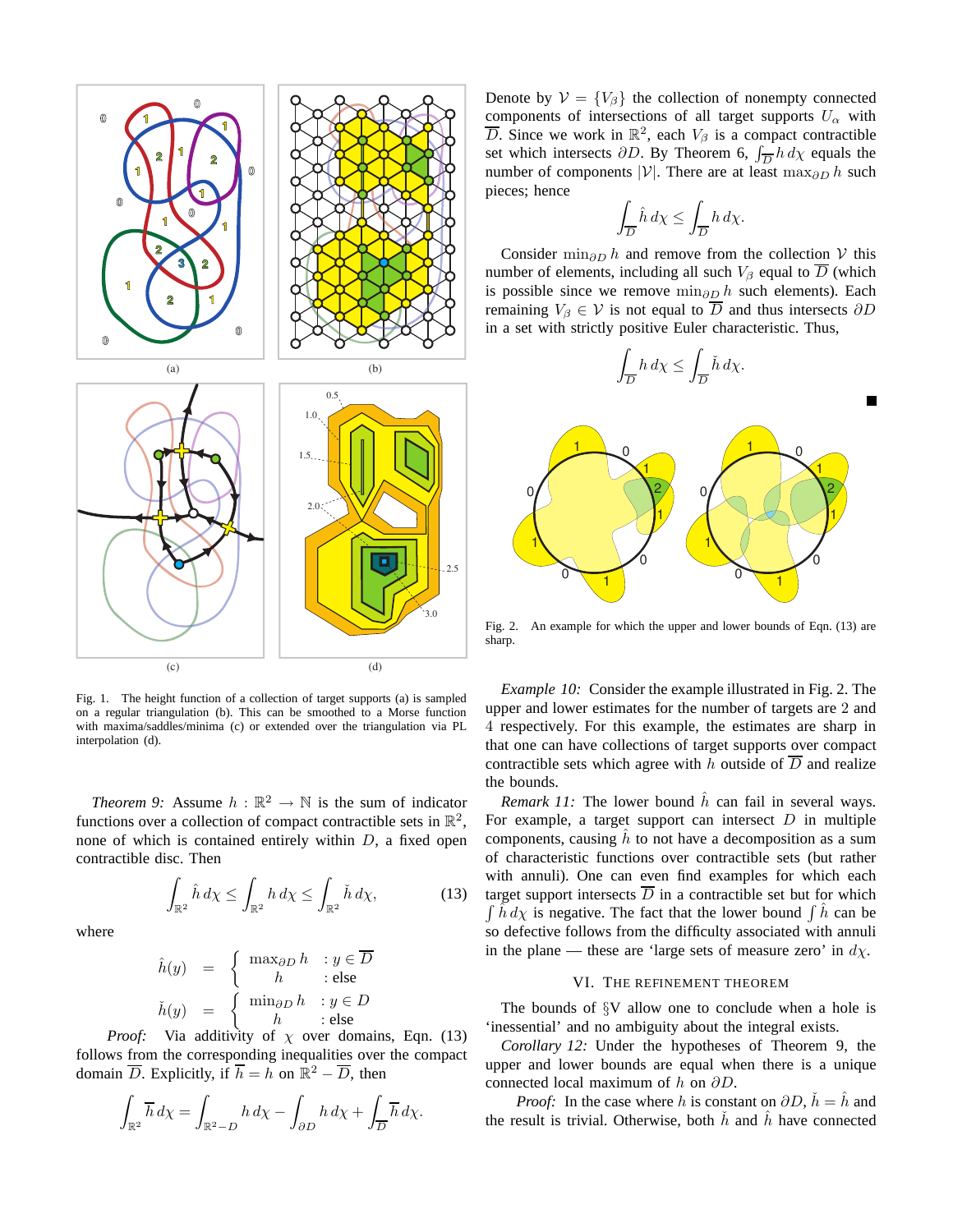

Fig. 1. The height function of a collection of target supports (a) is sampled on a regular triangulation (b). This can be smoothed to a Morse function with maxima/saddles/minima (c) or extended over the triangulation via PL interpolation (d).

*Theorem 9:* Assume  $h : \mathbb{R}^2 \to \mathbb{N}$  is the sum of indicator functions over a collection of compact contractible sets in  $\mathbb{R}^2$ , none of which is contained entirely within  $D$ , a fixed open contractible disc. Then

$$
\int_{\mathbb{R}^2} \hat{h} \, d\chi \le \int_{\mathbb{R}^2} h \, d\chi \le \int_{\mathbb{R}^2} \check{h} \, d\chi,\tag{13}
$$

where

$$
\hat{h}(y) = \begin{cases}\n\max_{\partial D} h & : y \in \overline{D} \\
h & : \text{else} \\
h & : y \in D\n\end{cases}
$$
\n
$$
\check{h}(y) = \begin{cases}\n\min_{\partial D} h & : y \in D \\
h & : \text{else}\n\end{cases}
$$

*Proof:* Via additivity of  $\chi$  over domains, Eqn. (13) follows from the corresponding inequalities over the compact domain  $\overline{D}$ . Explicitly, if  $\overline{h} = h$  on  $\mathbb{R}^2 - \overline{D}$ , then

$$
\int_{\mathbb{R}^2} \overline{h} \, d\chi = \int_{\mathbb{R}^2 - D} h \, d\chi - \int_{\partial D} h \, d\chi + \int_{\overline{D}} \overline{h} \, d\chi.
$$

Denote by  $V = \{V_\beta\}$  the collection of nonempty connected components of intersections of all target supports  $U_{\alpha}$  with  $\overline{D}$ . Since we work in  $\mathbb{R}^2$ , each  $V_\beta$  is a compact contractible set which intersects  $\partial D$ . By Theorem 6,  $\int_{\overline{D}} h \, d\chi$  equals the number of components |V|. There are at least max $_{\partial D}$  h such pieces; hence

$$
\int_{\overline{D}} \hat{h} \, d\chi \le \int_{\overline{D}} h \, d\chi.
$$

Consider min<sub>∂D</sub> h and remove from the collection V this number of elements, including all such  $V_\beta$  equal to  $\overline{D}$  (which is possible since we remove min<sub>∂D</sub> h such elements). Each remaining  $V_\beta \in \mathcal{V}$  is not equal to  $\overline{D}$  and thus intersects  $\partial D$ in a set with strictly positive Euler characteristic. Thus,



Fig. 2. An example for which the upper and lower bounds of Eqn. (13) are sharp.

*Example 10:* Consider the example illustrated in Fig. 2. The upper and lower estimates for the number of targets are 2 and 4 respectively. For this example, the estimates are sharp in that one can have collections of target supports over compact contractible sets which agree with h outside of  $\overline{D}$  and realize the bounds.

*Remark 11:* The lower bound  $\hat{h}$  can fail in several ways. For example, a target support can intersect  $D$  in multiple components, causing  $\hat{h}$  to not have a decomposition as a sum of characteristic functions over contractible sets (but rather with annuli). One can even find examples for which each 3) target support intersects  $\overline{D}$  in a contractible set but for which  $\int \hat{h} d\chi$  is negative. The fact that the lower bound  $\int \hat{h}$  can be so defective follows from the difficulty associated with annuli in the plane — these are 'large sets of measure zero' in  $d\chi$ .

## VI. THE REFINEMENT THEOREM

The bounds of  $\S$ V allow one to conclude when a hole is 'inessential' and no ambiguity about the integral exists.

*Corollary 12:* Under the hypotheses of Theorem 9, the upper and lower bounds are equal when there is a unique connected local maximum of h on  $\partial D$ .

*Proof:* In the case where h is constant on  $\partial D$ ,  $\check{h} = \hat{h}$  and the result is trivial. Otherwise, both  $\dot{h}$  and  $\ddot{h}$  have connected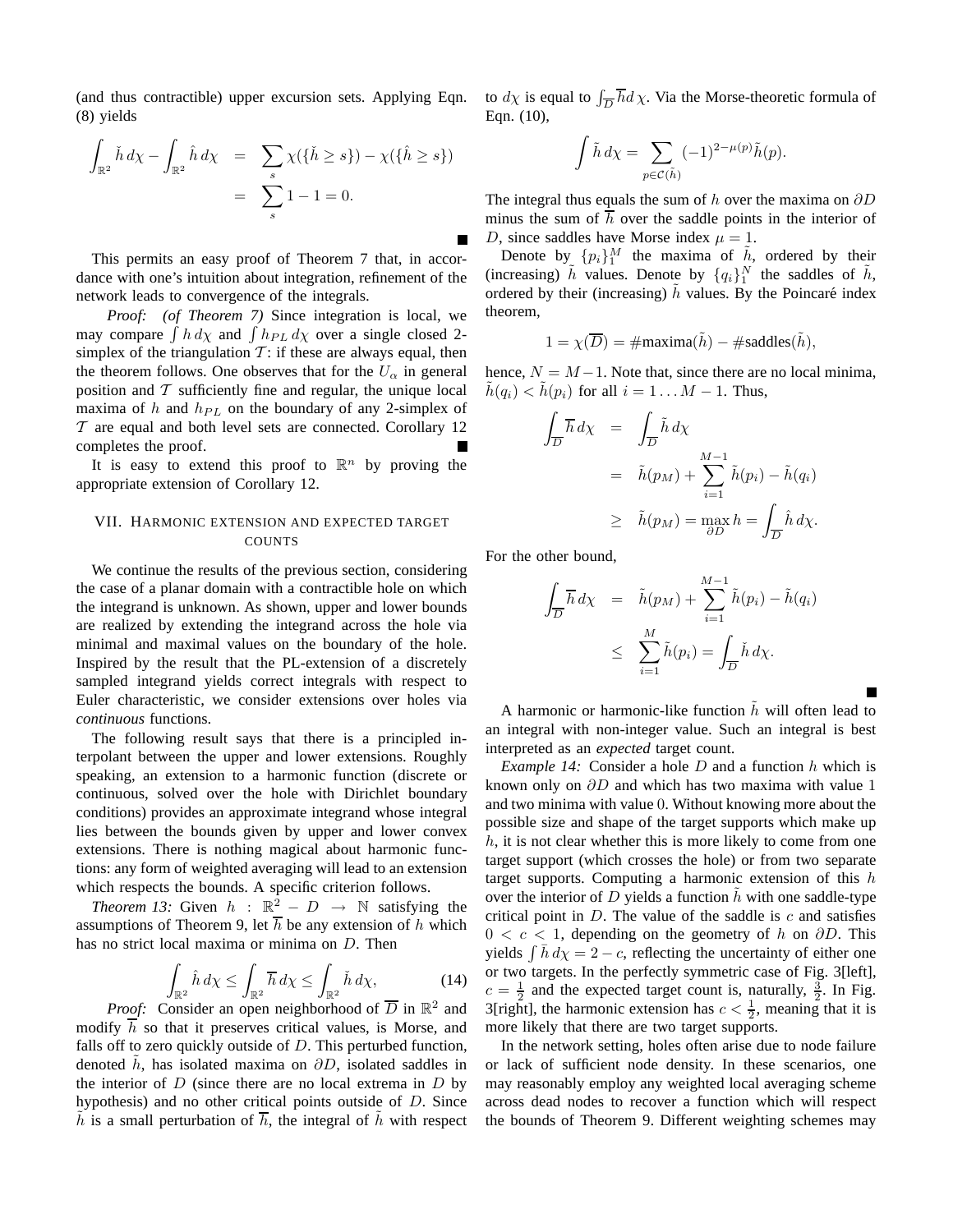(and thus contractible) upper excursion sets. Applying Eqn. (8) yields

$$
\int_{\mathbb{R}^2} \check{h} \, d\chi - \int_{\mathbb{R}^2} \hat{h} \, d\chi = \sum_s \chi(\{\check{h} \ge s\}) - \chi(\{\hat{h} \ge s\})
$$
\n
$$
= \sum_s 1 - 1 = 0.
$$

This permits an easy proof of Theorem 7 that, in accordance with one's intuition about integration, refinement of the network leads to convergence of the integrals.

*Proof: (of Theorem 7)* Since integration is local, we may compare  $\int h \, d\chi$  and  $\int h_{PL} \, d\chi$  over a single closed 2simplex of the triangulation  $T$ : if these are always equal, then the theorem follows. One observes that for the  $U_{\alpha}$  in general position and  $T$  sufficiently fine and regular, the unique local maxima of h and  $h_{PL}$  on the boundary of any 2-simplex of  $T$  are equal and both level sets are connected. Corollary 12 completes the proof.

It is easy to extend this proof to  $\mathbb{R}^n$  by proving the appropriate extension of Corollary 12.

# VII. HARMONIC EXTENSION AND EXPECTED TARGET COUNTS

We continue the results of the previous section, considering the case of a planar domain with a contractible hole on which the integrand is unknown. As shown, upper and lower bounds are realized by extending the integrand across the hole via minimal and maximal values on the boundary of the hole. Inspired by the result that the PL-extension of a discretely sampled integrand yields correct integrals with respect to Euler characteristic, we consider extensions over holes via *continuous* functions.

The following result says that there is a principled interpolant between the upper and lower extensions. Roughly speaking, an extension to a harmonic function (discrete or continuous, solved over the hole with Dirichlet boundary conditions) provides an approximate integrand whose integral lies between the bounds given by upper and lower convex extensions. There is nothing magical about harmonic functions: any form of weighted averaging will lead to an extension which respects the bounds. A specific criterion follows.

*Theorem 13:* Given  $h : \mathbb{R}^2 - D \rightarrow \mathbb{N}$  satisfying the assumptions of Theorem 9, let  $\overline{h}$  be any extension of h which has no strict local maxima or minima on D. Then

$$
\int_{\mathbb{R}^2} \hat{h} \, d\chi \le \int_{\mathbb{R}^2} \overline{h} \, d\chi \le \int_{\mathbb{R}^2} \check{h} \, d\chi,\tag{14}
$$

*Proof:* Consider an open neighborhood of  $\overline{D}$  in  $\mathbb{R}^2$  and modify  $\overline{h}$  so that it preserves critical values, is Morse, and falls off to zero quickly outside of  $D$ . This perturbed function, denoted h, has isolated maxima on  $\partial D$ , isolated saddles in the interior of  $D$  (since there are no local extrema in  $D$  by hypothesis) and no other critical points outside of D. Since  $\tilde{h}$  is a small perturbation of  $\overline{h}$ , the integral of  $\tilde{h}$  with respect

to  $d\chi$  is equal to  $\int_{\overline{D}} \overline{h} d\chi$ . Via the Morse-theoretic formula of Eqn. (10),

$$
\int \tilde{h} \, d\chi = \sum_{p \in \mathcal{C}(\tilde{h})} (-1)^{2 - \mu(p)} \tilde{h}(p).
$$

The integral thus equals the sum of h over the maxima on  $\partial D$ minus the sum of  $h$  over the saddle points in the interior of D, since saddles have Morse index  $\mu = 1$ .

Denote by  $\{p_i\}_1^M$  the maxima of  $\tilde{h}$ , ordered by their (increasing)  $\tilde{h}$  values. Denote by  $\{q_i\}_1^N$  the saddles of  $\tilde{h}$ , ordered by their (increasing)  $\tilde{h}$  values. By the Poincaré index theorem,

$$
1 = \chi(\overline{D}) = \text{#maxima}(\tilde{h}) - \text{#saddles}(\tilde{h}),
$$

hence,  $N = M - 1$ . Note that, since there are no local minima,  $h(q_i) < h(p_i)$  for all  $i = 1 \dots M - 1$ . Thus,

$$
\int_{\overline{D}} \overline{h} d\chi = \int_{\overline{D}} \tilde{h} d\chi
$$
  
=  $\tilde{h}(p_M) + \sum_{i=1}^{M-1} \tilde{h}(p_i) - \tilde{h}(q_i)$   
 $\geq \tilde{h}(p_M) = \max_{\partial D} h = \int_{\overline{D}} \hat{h} d\chi.$ 

For the other bound,

$$
\int_{\overline{D}} \overline{h} \, d\chi = \tilde{h}(p_M) + \sum_{i=1}^{M-1} \tilde{h}(p_i) - \tilde{h}(q_i)
$$
\n
$$
\leq \sum_{i=1}^{M} \tilde{h}(p_i) = \int_{\overline{D}} \tilde{h} \, d\chi.
$$

A harmonic or harmonic-like function  $\hat{h}$  will often lead to an integral with non-integer value. Such an integral is best interpreted as an *expected* target count.

*Example 14:* Consider a hole D and a function h which is known only on  $\partial D$  and which has two maxima with value 1 and two minima with value 0. Without knowing more about the possible size and shape of the target supports which make up  $h$ , it is not clear whether this is more likely to come from one target support (which crosses the hole) or from two separate target supports. Computing a harmonic extension of this  $h$ over the interior of D yields a function  $\hat{h}$  with one saddle-type critical point in  $D$ . The value of the saddle is  $c$  and satisfies  $0 < c < 1$ , depending on the geometry of h on  $\partial D$ . This yields  $\int \bar{h} d\chi = 2 - c$ , reflecting the uncertainty of either one or two targets. In the perfectly symmetric case of Fig. 3[left],  $c = \frac{1}{2}$  and the expected target count is, naturally,  $\frac{3}{2}$ . In Fig. 3[right], the harmonic extension has  $c < \frac{1}{2}$ , meaning that it is more likely that there are two target supports.

In the network setting, holes often arise due to node failure or lack of sufficient node density. In these scenarios, one may reasonably employ any weighted local averaging scheme across dead nodes to recover a function which will respect the bounds of Theorem 9. Different weighting schemes may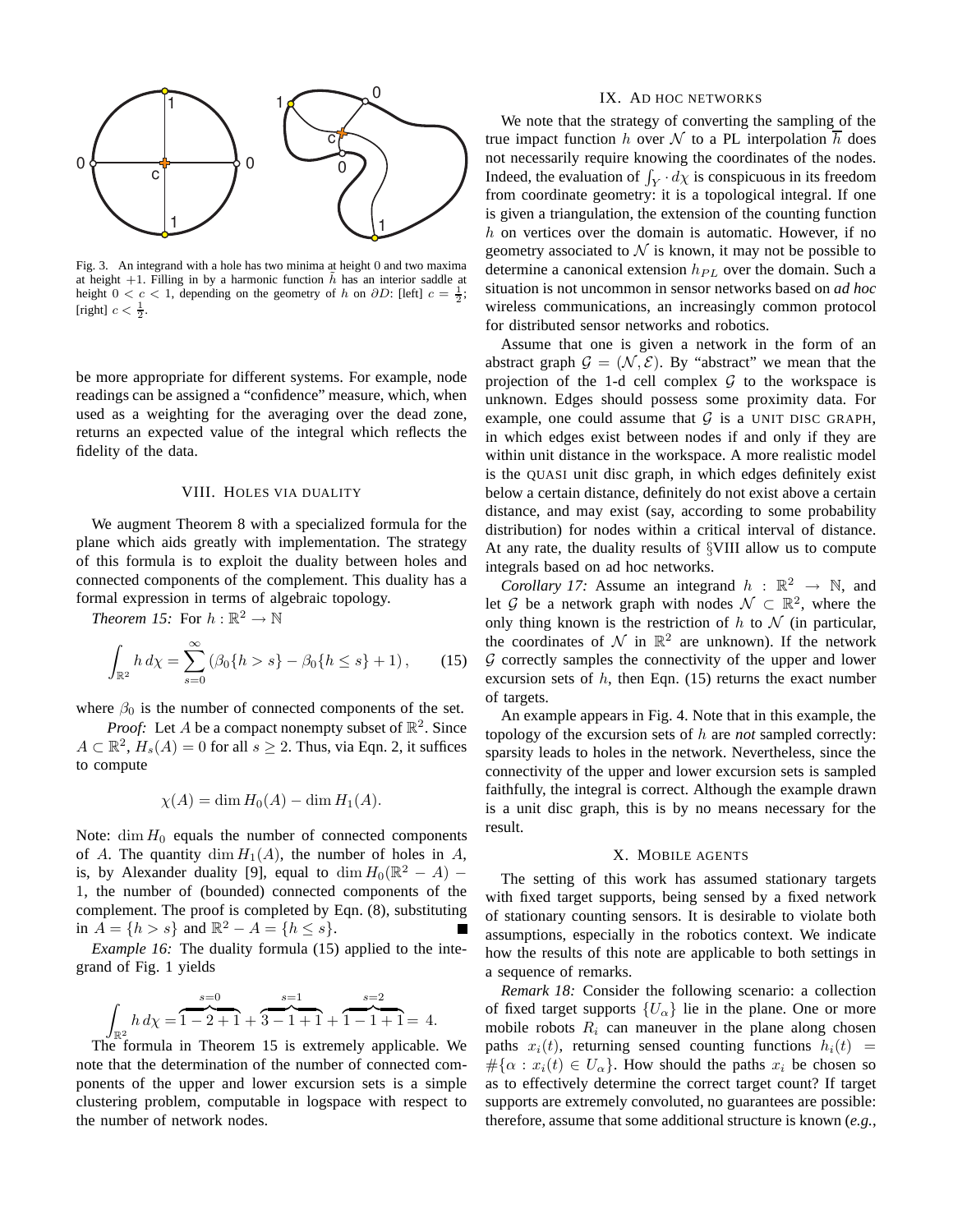

Fig. 3. An integrand with a hole has two minima at height 0 and two maxima at height +1. Filling in by a harmonic function  $\tilde{h}$  has an interior saddle at height  $0 < c < 1$ , depending on the geometry of h on  $\partial D$ : [left]  $c = \frac{1}{2}$ ; [right]  $c < \frac{1}{2}$ .

be more appropriate for different systems. For example, node readings can be assigned a "confidence" measure, which, when used as a weighting for the averaging over the dead zone, returns an expected value of the integral which reflects the fidelity of the data.

#### VIII. HOLES VIA DUALITY

We augment Theorem 8 with a specialized formula for the plane which aids greatly with implementation. The strategy of this formula is to exploit the duality between holes and connected components of the complement. This duality has a formal expression in terms of algebraic topology.

*Theorem 15:* For  $h : \mathbb{R}^2 \to \mathbb{N}$ 

$$
\int_{\mathbb{R}^2} h \, d\chi = \sum_{s=0}^\infty \left( \beta_0 \{ h > s \} - \beta_0 \{ h \le s \} + 1 \right),\tag{15}
$$

where  $\beta_0$  is the number of connected components of the set.

*Proof:* Let *A* be a compact nonempty subset of  $\mathbb{R}^2$ . Since  $A \subset \mathbb{R}^2$ ,  $H_s(A) = 0$  for all  $s \ge 2$ . Thus, via Eqn. 2, it suffices to compute

$$
\chi(A) = \dim H_0(A) - \dim H_1(A).
$$

Note:  $\dim H_0$  equals the number of connected components of A. The quantity dim  $H_1(A)$ , the number of holes in A, is, by Alexander duality [9], equal to  $\dim H_0(\mathbb{R}^2 - A)$  – 1, the number of (bounded) connected components of the complement. The proof is completed by Eqn. (8), substituting in  $A = \{h > s\}$  and  $\mathbb{R}^2 - A = \{h \le s\}.$ 

*Example 16:* The duality formula (15) applied to the integrand of Fig. 1 yields

$$
\int_{\mathbb{R}^2} h \, d\chi = \overbrace{1-2+1}^{s=0} + \overbrace{3-1+1}^{s=1} + \overbrace{1-1+1}^{s=2} = 4.
$$

The formula in Theorem 15 is extremely applicable. We note that the determination of the number of connected components of the upper and lower excursion sets is a simple clustering problem, computable in logspace with respect to the number of network nodes.

#### IX. AD HOC NETWORKS

We note that the strategy of converting the sampling of the true impact function h over N to a PL interpolation  $\overline{h}$  does not necessarily require knowing the coordinates of the nodes. Indeed, the evaluation of  $\int_Y d\chi$  is conspicuous in its freedom from coordinate geometry: it is a topological integral. If one is given a triangulation, the extension of the counting function  $h$  on vertices over the domain is automatic. However, if no geometry associated to  $N$  is known, it may not be possible to determine a canonical extension  $h_{PL}$  over the domain. Such a situation is not uncommon in sensor networks based on *ad hoc* wireless communications, an increasingly common protocol for distributed sensor networks and robotics.

Assume that one is given a network in the form of an abstract graph  $\mathcal{G} = (\mathcal{N}, \mathcal{E})$ . By "abstract" we mean that the projection of the 1-d cell complex  $G$  to the workspace is unknown. Edges should possess some proximity data. For example, one could assume that  $G$  is a UNIT DISC GRAPH, in which edges exist between nodes if and only if they are within unit distance in the workspace. A more realistic model is the QUASI unit disc graph, in which edges definitely exist below a certain distance, definitely do not exist above a certain distance, and may exist (say, according to some probability distribution) for nodes within a critical interval of distance. At any rate, the duality results of §VIII allow us to compute integrals based on ad hoc networks.

*Corollary 17:* Assume an integrand  $h : \mathbb{R}^2 \to \mathbb{N}$ , and let G be a network graph with nodes  $\mathcal{N} \subset \mathbb{R}^2$ , where the only thing known is the restriction of  $h$  to  $\mathcal N$  (in particular, the coordinates of  $\mathcal N$  in  $\mathbb R^2$  are unknown). If the network  $G$  correctly samples the connectivity of the upper and lower excursion sets of  $h$ , then Eqn. (15) returns the exact number of targets.

An example appears in Fig. 4. Note that in this example, the topology of the excursion sets of h are *not* sampled correctly: sparsity leads to holes in the network. Nevertheless, since the connectivity of the upper and lower excursion sets is sampled faithfully, the integral is correct. Although the example drawn is a unit disc graph, this is by no means necessary for the result.

#### X. MOBILE AGENTS

The setting of this work has assumed stationary targets with fixed target supports, being sensed by a fixed network of stationary counting sensors. It is desirable to violate both assumptions, especially in the robotics context. We indicate how the results of this note are applicable to both settings in a sequence of remarks.

*Remark 18:* Consider the following scenario: a collection of fixed target supports  $\{U_{\alpha}\}\$ lie in the plane. One or more mobile robots  $R_i$  can maneuver in the plane along chosen paths  $x_i(t)$ , returning sensed counting functions  $h_i(t)$  =  $\#\{\alpha : x_i(t) \in U_\alpha\}$ . How should the paths  $x_i$  be chosen so as to effectively determine the correct target count? If target supports are extremely convoluted, no guarantees are possible: therefore, assume that some additional structure is known (*e.g.*,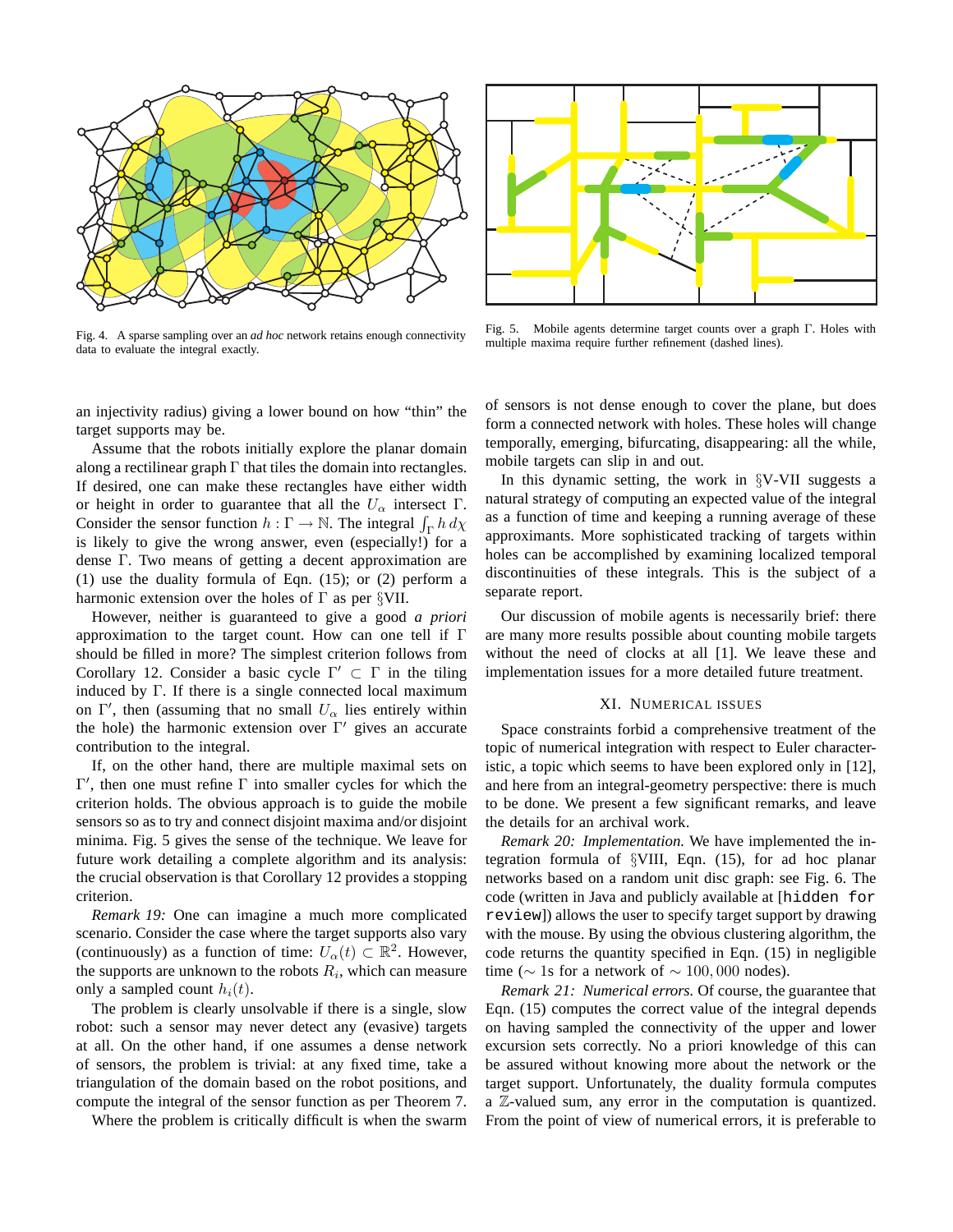

Fig. 4. A sparse sampling over an *ad hoc* network retains enough connectivity data to evaluate the integral exactly.



Fig. 5. Mobile agents determine target counts over a graph Γ. Holes with multiple maxima require further refinement (dashed lines).

an injectivity radius) giving a lower bound on how "thin" the target supports may be.

Assume that the robots initially explore the planar domain along a rectilinear graph  $\Gamma$  that tiles the domain into rectangles. If desired, one can make these rectangles have either width or height in order to guarantee that all the  $U_{\alpha}$  intersect  $\Gamma$ . Consider the sensor function  $h : \Gamma \to \mathbb{N}$ . The integral  $\int_{\Gamma} h \, d\chi$ is likely to give the wrong answer, even (especially!) for a dense Γ. Two means of getting a decent approximation are (1) use the duality formula of Eqn. (15); or (2) perform a harmonic extension over the holes of  $\Gamma$  as per §VII.

However, neither is guaranteed to give a good *a priori* approximation to the target count. How can one tell if Γ should be filled in more? The simplest criterion follows from Corollary 12. Consider a basic cycle  $\Gamma' \subset \Gamma$  in the tiling induced by Γ. If there is a single connected local maximum on  $\Gamma'$ , then (assuming that no small  $U_{\alpha}$  lies entirely within the hole) the harmonic extension over  $\Gamma'$  gives an accurate contribution to the integral.

If, on the other hand, there are multiple maximal sets on  $Γ'$ , then one must refine  $Γ$  into smaller cycles for which the criterion holds. The obvious approach is to guide the mobile sensors so as to try and connect disjoint maxima and/or disjoint minima. Fig. 5 gives the sense of the technique. We leave for future work detailing a complete algorithm and its analysis: the crucial observation is that Corollary 12 provides a stopping criterion.

*Remark 19:* One can imagine a much more complicated scenario. Consider the case where the target supports also vary (continuously) as a function of time:  $U_{\alpha}(t) \subset \mathbb{R}^2$ . However, the supports are unknown to the robots  $R_i$ , which can measure only a sampled count  $h_i(t)$ .

The problem is clearly unsolvable if there is a single, slow robot: such a sensor may never detect any (evasive) targets at all. On the other hand, if one assumes a dense network of sensors, the problem is trivial: at any fixed time, take a triangulation of the domain based on the robot positions, and compute the integral of the sensor function as per Theorem 7.

Where the problem is critically difficult is when the swarm

of sensors is not dense enough to cover the plane, but does form a connected network with holes. These holes will change temporally, emerging, bifurcating, disappearing: all the while, mobile targets can slip in and out.

In this dynamic setting, the work in §V-VII suggests a natural strategy of computing an expected value of the integral as a function of time and keeping a running average of these approximants. More sophisticated tracking of targets within holes can be accomplished by examining localized temporal discontinuities of these integrals. This is the subject of a separate report.

Our discussion of mobile agents is necessarily brief: there are many more results possible about counting mobile targets without the need of clocks at all [1]. We leave these and implementation issues for a more detailed future treatment.

# XI. NUMERICAL ISSUES

Space constraints forbid a comprehensive treatment of the topic of numerical integration with respect to Euler characteristic, a topic which seems to have been explored only in [12], and here from an integral-geometry perspective: there is much to be done. We present a few significant remarks, and leave the details for an archival work.

*Remark 20: Implementation.* We have implemented the integration formula of §VIII, Eqn. (15), for ad hoc planar networks based on a random unit disc graph: see Fig. 6. The code (written in Java and publicly available at [hidden for review]) allows the user to specify target support by drawing with the mouse. By using the obvious clustering algorithm, the code returns the quantity specified in Eqn. (15) in negligible time ( $\sim$  1s for a network of  $\sim$  100,000 nodes).

*Remark 21: Numerical errors.* Of course, the guarantee that Eqn. (15) computes the correct value of the integral depends on having sampled the connectivity of the upper and lower excursion sets correctly. No a priori knowledge of this can be assured without knowing more about the network or the target support. Unfortunately, the duality formula computes a Z-valued sum, any error in the computation is quantized. From the point of view of numerical errors, it is preferable to